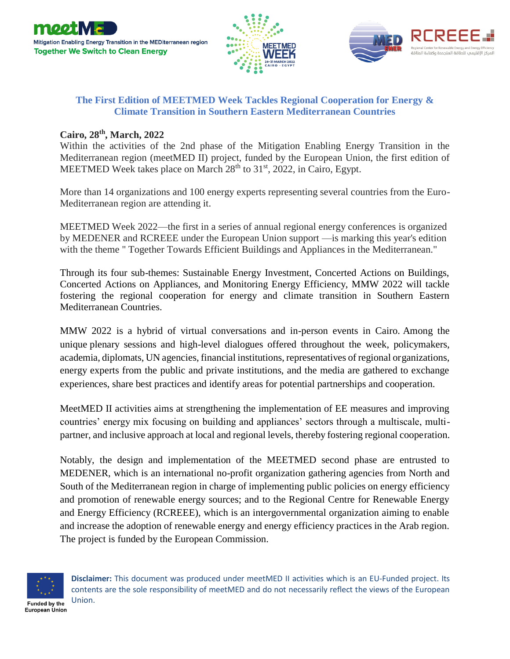





## **The First Edition of MEETMED Week Tackles Regional Cooperation for Energy & Climate Transition in Southern Eastern Mediterranean Countries**

## **Cairo, 28th , March, 2022**

Within the activities of the 2nd phase of the Mitigation Enabling Energy Transition in the Mediterranean region (meetMED II) project, funded by the European Union, the first edition of MEETMED Week takes place on March 28<sup>th</sup> to 31<sup>st</sup>, 2022, in Cairo, Egypt.

More than 14 organizations and 100 energy experts representing several countries from the Euro-Mediterranean region are attending it.

MEETMED Week 2022—the first in a series of annual regional energy conferences is organized by MEDENER and RCREEE under the European Union support —is marking this year's edition with the theme " Together Towards Efficient Buildings and Appliances in the Mediterranean."

Through its four sub-themes: Sustainable Energy Investment, Concerted Actions on Buildings, Concerted Actions on Appliances, and Monitoring Energy Efficiency, MMW 2022 will tackle fostering the regional cooperation for energy and climate transition in Southern Eastern Mediterranean Countries.

MMW 2022 is a hybrid of virtual conversations and in-person events in Cairo. Among the unique plenary sessions and high-level dialogues offered throughout the week, policymakers, academia, diplomats, UN agencies, financial institutions, representatives of regional organizations, energy experts from the public and private institutions, and the media are gathered to exchange experiences, share best practices and identify areas for potential partnerships and cooperation.

MeetMED II activities aims at strengthening the implementation of EE measures and improving countries' energy mix focusing on building and appliances' sectors through a multiscale, multipartner, and inclusive approach at local and regional levels, thereby fostering regional cooperation.

Notably, the design and implementation of the MEETMED second phase are entrusted to MEDENER, which is an international no-profit organization gathering agencies from North and South of the Mediterranean region in charge of implementing public policies on energy efficiency and promotion of renewable energy sources; and to the Regional Centre for Renewable Energy and Energy Efficiency (RCREEE), which is an intergovernmental organization aiming to enable and increase the adoption of renewable energy and energy efficiency practices in the Arab region. The project is funded by the European Commission.



**Disclaimer:** This document was produced under meetMED II activities which is an EU-Funded project. Its contents are the sole responsibility of meetMED and do not necessarily reflect the views of the European Union.

Funded by the **European Union**